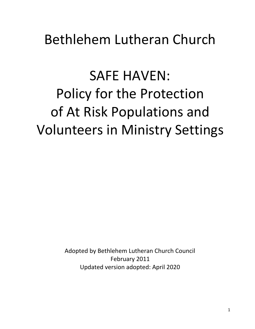# Bethlehem Lutheran Church

SAFE HAVEN: Policy for the Protection of At Risk Populations and Volunteers in Ministry Settings

> Adopted by Bethlehem Lutheran Church Council February 2011 Updated version adopted: April 2020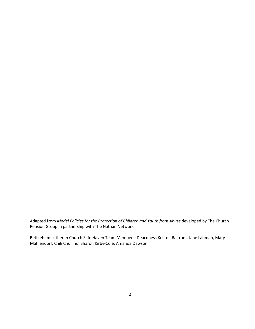Adapted from *Model Policies for the Protection of Children and Youth from Abuse* developed by The Church Pension Group in partnership with The Nathan Network

Bethlehem Lutheran Church Safe Haven Team Members: Deaconess Kristen Baltrum, Jane Lahman, Mary Mahlendorf, Chili Chullino, Sharon Kirby-Cole, Amanda Dawson.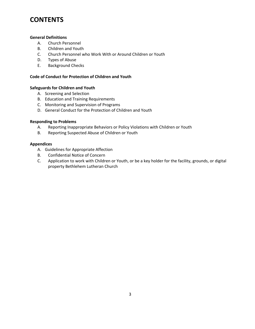### **CONTENTS**

#### **General Definitions**

- A. Church Personnel
- B. Children and Youth
- C. Church Personnel who Work With or Around Children or Youth
- D. Types of Abuse
- E. Background Checks

#### **Code of Conduct for Protection of Children and Youth**

#### **Safeguards for Children and Youth**

- A. Screening and Selection
- B. Education and Training Requirements
- C. Monitoring and Supervision of Programs
- D. General Conduct for the Protection of Children and Youth

#### **Responding to Problems**

- A. Reporting Inappropriate Behaviors or Policy Violations with Children or Youth
- B. Reporting Suspected Abuse of Children or Youth

#### **Appendices**

- A. Guidelines for Appropriate Affection
- B. Confidential Notice of Concern
- C. Application to work with Children or Youth, or be a key holder for the facility, grounds, or digital property Bethlehem Lutheran Church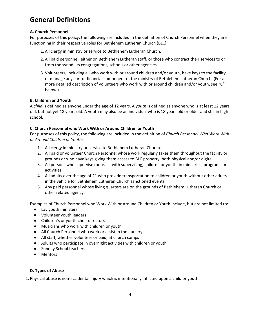# **General Definitions**

#### **A. Church Personnel**

For purposes of this policy, the following are included in the definition of Church Personnel when they are functioning in their respective roles for Bethlehem Lutheran Church (BLC):

- 1. All clergy in ministry or service to Bethlehem Lutheran Church.
- 2. All paid personnel, either on Bethlehem Lutheran staff, or those who contract their services to or from the synod, its congregations, schools or other agencies.
- 3. Volunteers, including all who work with or around children and/or youth, have keys to the facility, or manage any sort of financial component of the ministry of Bethlehem Lutheran Church. (For a more detailed description of volunteers who work with or around children and/or youth, see "C" below.)

#### **B. Children and Youth**

A *child* is defined as anyone under the age of 12 years. A *youth* is defined as anyone who is at least 12 years old, but not yet 18 years old. A youth may also be an individual who is 18 years old or older and still in high school.

#### **C. Church Personnel who Work With or Around Children or Youth**

For purposes of this policy, the following are included in the definition of *Church Personnel Who Work With or Around Children or Youth*:

- 1. All clergy in ministry or service to Bethlehem Lutheran Church.
- 2. All paid or volunteer Church Personnel whose work regularly takes them throughout the facility or grounds or who have keys giving them access to BLC property, both physical and/or digital.
- 3. All persons who supervise (or assist with supervising) children or youth, in ministries, programs or activities.
- 4. All adults over the age of 21 who provide transportation to children or youth without other adults in the vehicle for Bethlehem Lutheran Church sanctioned events.
- 5. Any paid personnel whose living quarters are on the grounds of Bethlehem Lutheran Church or other related agency.

Examples of Church Personnel who Work With or Around Children or Youth include, but are not limited to:

- Lay youth ministers
- Volunteer youth leaders
- Children's or youth choir directors
- Musicians who work with children or youth
- All Church Personnel who work or assist in the nursery
- All staff, whether volunteer or paid, at church camps
- Adults who participate in overnight activities with children or youth
- Sunday School teachers
- Mentors

#### **D. Types of Abuse**

1. Physical abuse is non-accidental injury which is intentionally inflicted upon a child or youth.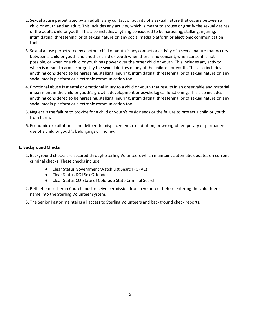- 2. Sexual abuse perpetrated by an adult is any contact or activity of a sexual nature that occurs between a child or youth and an adult. This includes any activity, which is meant to arouse or gratify the sexual desires of the adult, child or youth. This also includes anything considered to be harassing, stalking, injuring, intimidating, threatening, or of sexual nature on any social media platform or electronic communication tool.
- 3. Sexual abuse perpetrated by another child or youth is any contact or activity of a sexual nature that occurs between a child or youth and another child or youth when there is no consent, when consent is not possible, or when one child or youth has power over the other child or youth. This includes any activity which is meant to arouse or gratify the sexual desires of any of the children or youth. This also includes anything considered to be harassing, stalking, injuring, intimidating, threatening, or of sexual nature on any social media platform or electronic communication tool.
- 4. Emotional abuse is mental or emotional injury to a child or youth that results in an observable and material impairment in the child or youth's growth, development or psychological functioning. This also includes anything considered to be harassing, stalking, injuring, intimidating, threatening, or of sexual nature on any social media platform or electronic communication tool.
- 5. Neglect is the failure to provide for a child or youth's basic needs or the failure to protect a child or youth from harm.
- 6. Economic exploitation is the deliberate misplacement, exploitation, or wrongful temporary or permanent use of a child or youth's belongings or money.

#### **E. Background Checks**

- 1. Background checks are secured through Sterling Volunteers which maintains automatic updates on current criminal checks. These checks include:
	- Clear Status Government Watch List Search (OFAC)
	- Clear Status DOJ Sex Offender
	- Clear Status CO-State of Colorado State Criminal Search
- 2. Bethlehem Lutheran Church must receive permission from a volunteer before entering the volunteer's name into the Sterling Volunteer system.
- 3. The Senior Pastor maintains all access to Sterling Volunteers and background check reports.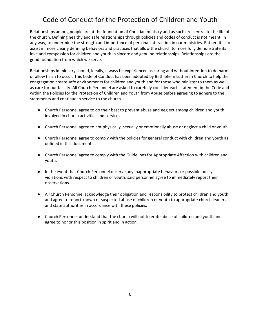# Code of Conduct for the Protection of Children and Youth

Relationships among people are at the foundation of Christian ministry and as such are central to the life of the church. Defining healthy and safe relationships through policies and codes of conduct is not meant, in any way, to undermine the strength and importance of personal interaction in our ministries. Rather, it is to assist in more clearly defining behaviors and practices that allow the church to more fully demonstrate its love and compassion for children and youth in sincere and genuine relationships. Relationships are the good foundation from which we serve.

Relationships in ministry should, ideally, always be experienced as caring and without intention to do harm or allow harm to occur. This Code of Conduct has been adopted by Bethlehem Lutheran Church to help the congregation create safe environments for children and youth and for those who minister to them as well as care for our facility. All Church Personnel are asked to carefully consider each statement in the Code and within the Policies for the Protection of Children and Youth from Abuse before agreeing to adhere to the statements and continue in service to the church.

- Church Personnel agree to do their best to prevent abuse and neglect among children and youth involved in church activities and services.
- Church Personnel agree to not physically, sexually or emotionally abuse or neglect a child or youth.
- Church Personnel agree to comply with the policies for general conduct with children and youth as defined in this document.
- Church Personnel agree to comply with the Guidelines for Appropriate Affection with children and youth.
- In the event that Church Personnel observe any inappropriate behaviors or possible policy violations with respect to children or youth, said personnel agree to immediately report their observations.
- All Church Personnel acknowledge their obligation and responsibility to protect children and youth and agree to report known or suspected abuse of children or youth to appropriate church leaders and state authorities in accordance with these policies.
- Church Personnel understand that the church will not tolerate abuse of children and youth and agree to honor this position in spirit and in action.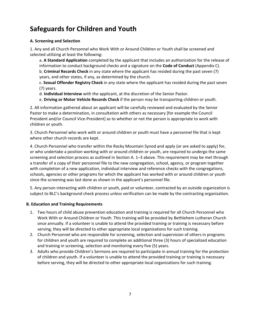# **Safeguards for Children and Youth**

#### **A. Screening and Selection**

1. Any and all Church Personnel who Work With or Around Children or Youth shall be screened and selected utilizing at least the following:

a. **A Standard Application** completed by the applicant that includes an authorization for the release of information to conduct background checks and a signature on the **Code of Conduct** (Appendix C). b. **Criminal Records Check** in any state where the applicant has resided during the past seven (7) years, and other states, if any, as determined by the church.

c. **Sexual Offender Registry Check** in any state where the applicant has resided during the past seven (7) years.

d. **Individual Interview** with the applicant, at the discretion of the Senior Pastor.

e. **Driving or Motor Vehicle Records Check** if the person may be transporting children or youth.

2. All information gathered about an applicant will be carefully reviewed and evaluated by the Senior Pastor to make a determination, in consultation with others as necessary [for example the Council President and/or Council Vice-President] as to whether or not the person is appropriate to work with children or youth.

3. Church Personnel who work with or around children or youth must have a personnel file that is kept where other church records are kept.

4. Church Personnel who transfer within the Rocky Mountain Synod and apply (or are asked to apply) for, or who undertake a position working with or around children or youth, are required to undergo the same screening and selection process as outlined in Section A. 1–3 above. This requirement may be met through a transfer of a copy of their personnel file to the new congregation, school, agency, or program together with completion of a new application, individual interview and reference checks with the congregations, schools, agencies or other programs for which the applicant has worked with or around children or youth since the screening was last done as shown in the applicant's personnel file.

5. Any person interacting with children or youth, paid or volunteer, contracted by an outside organization is subject to BLC's background check process unless verification can be made by the contracting organization.

#### **B. Education and Training Requirements**

- 1. Two hours of child abuse prevention education and training is required for all Church Personnel who Work With or Around Children or Youth. This training will be provided by Bethlehem Lutheran Church once annually. If a volunteer is unable to attend the provided training or training is necessary before serving, they will be directed to other appropriate local organizations for such training.
- 2. Church Personnel who are responsible for screening, selection and supervision of others in programs for children and youth are required to complete an additional three (3) hours of specialized education and training in screening, selection and monitoring every five (5) years.
- 3. Adults who provide Children's Sermons are required to participate in annual training for the protection of children and youth. If a volunteer is unable to attend the provided training or training is necessary before serving, they will be directed to other appropriate local organizations for such training.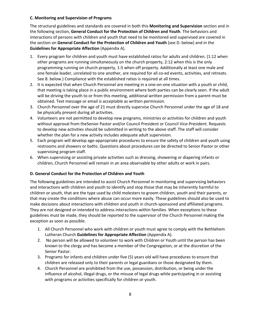#### **C. Monitoring and Supervision of Programs**

The structural guidelines and standards are covered in both this **Monitoring and Supervision** section and in the following section, **General Conduct for the Protection of Children and Youth**. The behaviors and interactions of persons with children and youth that need to be monitored and supervised are covered in the section on **General Conduct for the Protection of Children and Youth** (see D. below) and in the **Guidelines for Appropriate Affection** (Appendix A).

- 1. Every program for children and youth must have established ratios for adults and children. (1:12 when other programs are running simultaneously on the church property, 2:12 when this is the only programming running on church property, 1:5 when off property. Additionally at least one male and one female leader, unrelated to one another, are required for all co-ed events, activities, and retreats. See 8. below.) Compliance with the established ratios is required at all times.
- 2. It is expected that when Church Personnel are meeting in a one-on-one situation with a youth or child, that meeting is taking place in a public environment where both parties can be clearly seen. If the adult will be driving the youth to or from this meeting, additional written permission from a parent must be obtained. Text message or email is acceptable as written permission.
- 3. Church Personnel over the age of 21 must directly supervise Church Personnel under the age of 18 and be physically present during all activities.
- 4. Volunteers are not permitted to develop new programs, ministries or activities for children and youth without approval from theSenior Pastor and/or Council President or Council Vice-President. Requests to develop new activities should be submitted in writing to the above staff. The staff will consider whether the plan for a new activity includes adequate adult supervision.
- 5. Each program will develop age-appropriate procedures to ensure the safety of children and youth using restrooms and showers or baths. Questions about procedures can be directed to Senior Pastor or other supervising program staff.
- 6. When supervising or assisting private activities such as dressing, showering or diapering infants or children, Church Personnel will remain in an area observable by other adults or work in pairs.

#### **D. General Conduct for the Protection of Children and Youth**

The following guidelines are intended to assist Church Personnel in monitoring and supervising behaviors and interactions with children and youth to identify and stop those that may be inherently harmful to children or youth, that are the type used by child molesters to groom children, youth and their parents, or that may create the conditions where abuse can occur more easily. These guidelines should also be used to make decisions about interactions with children and youth in church-sponsored and affiliated programs. They are not designed or intended to address interactions within families. When exceptions to these guidelines must be made, they should be reported to the supervisor of the Church Personnel making the exception as soon as possible.

- 1. All Church Personnel who work with children or youth must agree to comply with the Bethlehem Lutheran Church **Guidelines for Appropriate Affection** (Appendix A).
- 2. No person will be allowed to volunteer to work with Children or Youth until the person has been known to the clergy and has become a member of the Congregation, or at the discretion of the Senior Pastor.
- 3. Programs for infants and children under five (5) years old will have procedures to ensure that children are released only to their parents or legal guardians or those designated by them.
- 4. Church Personnel are prohibited from the use, possession, distribution, or being under the influence of alcohol, illegal drugs, or the misuse of legal drugs while participating in or assisting with programs or activities specifically for children or youth.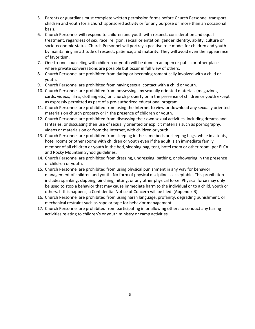- 5. Parents or guardians must complete written permission forms before Church Personnel transport children and youth for a church sponsored activity or for any purpose on more than an occasional basis.
- 6. Church Personnel will respond to children and youth with respect, consideration and equal treatment, regardless of sex, race, religion, sexual orientation, gender identity, ability, culture or socio-economic status. Church Personnel will portray a positive role model for children and youth by maintaining an attitude of respect, patience, and maturity. They will avoid even the appearance of favoritism.
- 7. One-to-one counseling with children or youth will be done in an open or public or other place where private conversations are possible but occur in full view of others.
- 8. Church Personnel are prohibited from dating or becoming romantically involved with a child or youth.
- 9. Church Personnel are prohibited from having sexual contact with a child or youth.
- 10. Church Personnel are prohibited from possessing any sexually oriented materials (magazines, cards, videos, films, clothing etc.) on church property or in the presence of children or youth except as expressly permitted as part of a pre-authorized educational program.
- 11. Church Personnel are prohibited from using the Internet to view or download any sexually oriented materials on church property or in the presence of children or youth.
- 12. Church Personnel are prohibited from discussing their own sexual activities, including dreams and fantasies, or discussing their use of sexually oriented or explicit materials such as pornography, videos or materials on or from the Internet, with children or youth.
- 13. Church Personnel are prohibited from sleeping in the same beds or sleeping bags, while in a tents, hotel rooms or other rooms with children or youth even if the adult is an immediate family member of all children or youth in the bed, sleeping bag, tent, hotel room or other room, per ELCA and Rocky Mountain Synod guidelines.
- 14. Church Personnel are prohibited from dressing, undressing, bathing, or showering in the presence of children or youth.
- 15. Church Personnel are prohibited from using physical punishment in any way for behavior management of children and youth. No form of physical discipline is acceptable. This prohibition includes spanking, slapping, pinching, hitting, or any other physical force. Physical force may only be used to stop a behavior that may cause immediate harm to the individual or to a child, youth or others. If this happens, a Confidential Notice of Concern will be filed. (Appendix B)
- 16. Church Personnel are prohibited from using harsh language, profanity, degrading punishment, or mechanical restraint such as rope or tape for behavior management.
- 17. Church Personnel are prohibited from participating in or allowing others to conduct any hazing activities relating to children's or youth ministry or camp activities.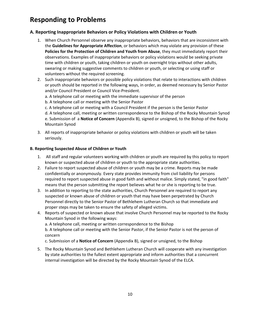## **Responding to Problems**

#### **A. Reporting Inappropriate Behaviors or Policy Violations with Children or Youth**

- 1. When Church Personnel observe any inappropriate behaviors, behaviors that are inconsistent with the **Guidelines for Appropriate Affection**, or behaviors which may violate any provision of these **Policies for the Protection of Children and Youth from Abuse**, they must immediately report their observations. Examples of inappropriate behaviors or policy violations would be seeking private time with children or youth, taking children or youth on overnight trips without other adults, swearing or making suggestive comments to children or youth, or selecting or using staff or volunteers without the required screening.
- 2. Such inappropriate behaviors or possible policy violations that relate to interactions with children or youth should be reported in the following ways, in order, as deemed necessary by Senior Pastor and/or Council President or Council Vice-President.
	- a. A telephone call or meeting with the immediate supervisor of the person

b. A telephone call or meeting with the Senior Pastor

c. A telephone call or meeting with a Council President if the person is the Senior Pastor

d. A telephone call, meeting or written correspondence to the Bishop of the Rocky Mountain Synod e. Submission of a **Notice of Concern** (Appendix B), signed or unsigned, to the Bishop of the Rocky Mountain Synod

3. All reports of inappropriate behavior or policy violations with children or youth will be taken seriously.

#### **B. Reporting Suspected Abuse of Children or Youth**

- 1. All staff and regular volunteers working with children or youth are required by this policy to report known or suspected abuse of children or youth to the appropriate state authorities.
- 2. Failure to report suspected abuse of children or youth may be a crime. Reports may be made confidentially or anonymously. Every state provides immunity from civil liability for persons required to report suspected abuse in good faith and without malice. Simply stated, "in good faith" means that the person submitting the report believes what he or she is reporting to be true.
- 3. In addition to reporting to the state authorities, Church Personnel are required to report any suspected or known abuse of children or youth that may have been perpetrated by Church Personnel directly to the Senior Pastor of Bethlehem Lutheran Church so that immediate and proper steps may be taken to ensure the safety of alleged victims.
- 4. Reports of suspected or known abuse that involve Church Personnel may be reported to the Rocky Mountain Synod in the following ways: a. A telephone call, meeting or written correspondence to the Bishop

b. A telephone call or meeting with the Senior Pastor, if the Senior Pastor is not the person of

concern

c. Submission of a **Notice of Concern** (Appendix B), signed or unsigned, to the Bishop

5. The Rocky Mountain Synod and Bethlehem Lutheran Church will cooperate with any investigation by state authorities to the fullest extent appropriate and inform authorities that a concurrent internal investigation will be directed by the Rocky Mountain Synod of the ELCA.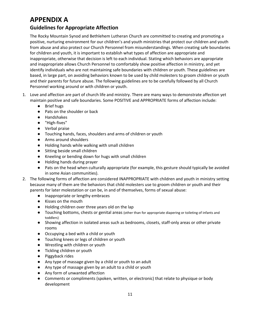### **APPENDIX A Guidelines for Appropriate Affection**

The Rocky Mountain Synod and Bethlehem Lutheran Church are committed to creating and promoting a positive, nurturing environment for our children's and youth ministries that protect our children and youth from abuse and also protect our Church Personnel from misunderstandings. When creating safe boundaries for children and youth, it is important to establish what types of affection are appropriate and inappropriate, otherwise that decision is left to each individual. Stating which behaviors are appropriate and inappropriate allows Church Personnel to comfortably show positive affection in ministry, and yet identify individuals who are not maintaining safe boundaries with children or youth. These guidelines are based, in large part, on avoiding behaviors known to be used by child molesters to groom children or youth and their parents for future abuse. The following guidelines are to be carefully followed by all Church Personnel working around or with children or youth.

- 1. Love and affection are part of church life and ministry. There are many ways to demonstrate affection yet maintain positive and safe boundaries. Some POSITIVE and APPROPRIATE forms of affection include:
	- Brief hugs
	- Pats on the shoulder or back
	- Handshakes
	- "High-fives"
	- Verbal praise
	- Touching hands, faces, shoulders and arms of children or youth
	- Arms around shoulders
	- Holding hands while walking with small children
	- Sitting beside small children
	- Kneeling or bending down for hugs with small children
	- Holding hands during prayer
	- Pats on the head when culturally appropriate (for example, this gesture should typically be avoided in some Asian communities).
- 2. The following forms of affection are considered INAPPROPRIATE with children and youth in ministry setting because many of them are the behaviors that child molesters use to groom children or youth and their parents for later molestation or can be, in and of themselves, forms of sexual abuse:
	- Inappropriate or lengthy embraces
	- Kisses on the mouth
	- Holding children over three years old on the lap
	- Touching bottoms, chests or genital areas (other than for appropriate diapering or toileting of infants and toddlers)
	- Showing affection in isolated areas such as bedrooms, closets, staff-only areas or other private rooms
	- Occupying a bed with a child or youth
	- Touching knees or legs of children or youth
	- Wrestling with children or youth
	- Tickling children or youth
	- Piggyback rides
	- Any type of massage given by a child or youth to an adult
	- Any type of massage given by an adult to a child or youth
	- Any form of unwanted affection
	- Comments or compliments (spoken, written, or electronic) that relate to physique or body development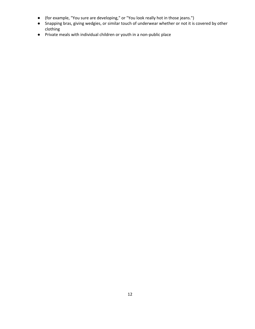- (for example, "You sure are developing," or "You look really hot in those jeans.")
- Snapping bras, giving wedgies, or similar touch of underwear whether or not it is covered by other clothing
- Private meals with individual children or youth in a non-public place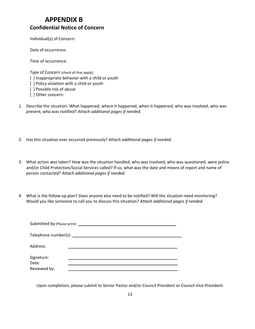### **APPENDIX B Confidential Notice of Concern**

Individual(s) of Concern:

Date of occurrence:

Time of occurrence:

Type of Concern (check all that apply): [] Inappropriate behavior with a child or youth [ ] Policy violation with a child or youth [ ] Possible risk of abuse

- [ ] Other concern:
- 1. Describe the situation: What happened, where it happened, when it happened, who was involved, who was present, who was notified? *Attach additional pages if needed.*
- 2. Has this situation ever occurred previously? *Attach additional pages if needed.*
- 3. What action was taken? How was the situation handled, who was involved, who was questioned, were police and/or Child Protection/Social Services called? If so, what was the date and means of report and name of person contacted? *Attach additional pages if needed.*
- 4. What is the follow-up plan? Does anyone else need to be notified? Will the situation need monitoring? Would you like someone to call you to discuss this situation? *Attach additional pages if needed.*

| Submitted by (Please print): ___________ |  |
|------------------------------------------|--|
| Telephone number(s): ______              |  |
| Address:                                 |  |
| Signature:<br>Date:<br>Reviewed by:      |  |

Upon completion, please submit to Senior Pastor and/or Council President or Council Vice-President.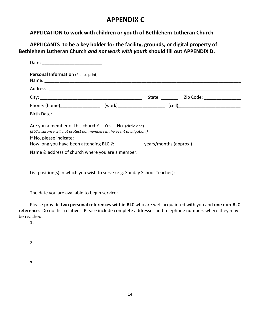### **APPENDIX C**

**APPLICATION to work with children or youth of Bethlehem Lutheran Church**

**APPLICANTS to be a key holder for the facility, grounds, or digital property of Bethlehem Lutheran Church** *and not work with youth* **should fill out APPENDIX D.**

| <b>Personal Information (Please print)</b>                                                                                                                                                                                   |  |                               |
|------------------------------------------------------------------------------------------------------------------------------------------------------------------------------------------------------------------------------|--|-------------------------------|
|                                                                                                                                                                                                                              |  |                               |
|                                                                                                                                                                                                                              |  | State: <u>Union Zip Code:</u> |
|                                                                                                                                                                                                                              |  |                               |
| Birth Date: ___________________________                                                                                                                                                                                      |  |                               |
| Are you a member of this church? Yes No (circle one)<br>(BLC insurance will not protect nonmembers in the event of litigation.)<br>If No, please indicate:<br>How long you have been attending BLC ?: vears/months (approx.) |  |                               |
| Name & address of church where you are a member:                                                                                                                                                                             |  |                               |

List position(s) in which you wish to serve (e.g. Sunday School Teacher):

The date you are available to begin service:

Please provide **two personal references within BLC** who are well acquainted with you and **one non-BLC reference**. Do not list relatives. Please include complete addresses and telephone numbers where they may be reached.

1.

2.

3.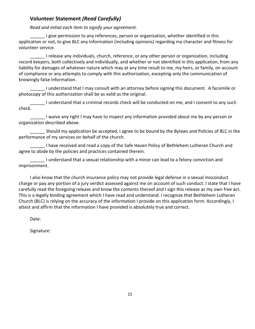### **Volunteer Statement** *(Read Carefully)*

*Read and initial each item to signify your agreement.*

I give permission to any references, person or organization, whether identified in this application or not, to give BLC any information (including opinions) regarding my character and fitness for volunteer service.

I release any individuals, church, reference, or any other person or organization, including record keepers, both collectively and individually, and whether or not identified in this application, from any liability for damages of whatever nature which may at any time result to me, my heirs, or family, on account of compliance or any attempts to comply with this authorization, excepting only the communication of knowingly false information.

I understand that I may consult with an attorney before signing this document. A facsimile or photocopy of this authorization shall be as valid as the original.

I understand that a criminal records check will be conducted on me, and I consent to any such check.

\_\_\_\_\_\_ I waive any right I may have to inspect any information provided about me by any person or organization described above.

\_\_\_\_\_\_ Should my application be accepted, I agree to be bound by the Bylaws and Policies of BLC in the performance of my services on behalf of the church.

I have received and read a copy of the Safe Haven Policy of Bethlehem Lutheran Church and agree to abide by the policies and practices contained therein.

I understand that a sexual relationship with a minor can lead to a felony conviction and imprisonment.

I also know that the church insurance policy may not provide legal defense in a sexual misconduct charge or pay any portion of a jury verdict assessed against me on account of such conduct. I state that I have carefully read the foregoing release and know the contents thereof and I sign this release as my own free act. This is a legally binding agreement which I have read and understand. I recognize that Bethlehem Lutheran Church (BLC) is relying on the accuracy of the information I provide on this application form. Accordingly, I attest and affirm that the information I have provided is absolutely true and correct.

Date:

Signature: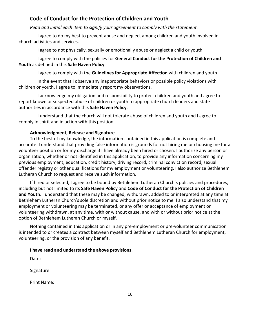### **Code of Conduct for the Protection of Children and Youth**

*Read and initial each item to signify your agreement to comply with the statement.*

I agree to do my best to prevent abuse and neglect among children and youth involved in church activities and services.

I agree to not physically, sexually or emotionally abuse or neglect a child or youth.

I agree to comply with the policies for **General Conduct for the Protection of Children and Youth** as defined in this **Safe Haven Policy**.

I agree to comply with the **Guidelines for Appropriate Affection** with children and youth.

In the event that I observe any inappropriate behaviors or possible policy violations with children or youth, I agree to immediately report my observations.

I acknowledge my obligation and responsibility to protect children and youth and agree to report known or suspected abuse of children or youth to appropriate church leaders and state authorities in accordance with this **Safe Haven Policy**.

I understand that the church will not tolerate abuse of children and youth and I agree to comply in spirit and in action with this position.

#### **Acknowledgment, Release and Signature**

To the best of my knowledge, the information contained in this application is complete and accurate. I understand that providing false information is grounds for not hiring me or choosing me for a volunteer position or for my discharge if I have already been hired or chosen. I authorize any person or organization, whether or not identified in this application, to provide any information concerning my previous employment, education, credit history, driving record, criminal conviction record, sexual offender registry or other qualifications for my employment or volunteering. I also authorize Bethlehem Lutheran Church to request and receive such information.

If hired or selected, I agree to be bound by Bethlehem Lutheran Church's policies and procedures, including but not limited to its **Safe Haven Policy** and **Code of Conduct for the Protection of Children and Youth**. I understand that these may be changed, withdrawn, added to or interpreted at any time at Bethlehem Lutheran Church's sole discretion and without prior notice to me. I also understand that my employment or volunteering may be terminated, or any offer or acceptance of employment or volunteering withdrawn, at any time, with or without cause, and with or without prior notice at the option of Bethlehem Lutheran Church or myself.

Nothing contained in this application or in any pre-employment or pre-volunteer communication is intended to or creates a contract between myself and Bethlehem Lutheran Church for employment, volunteering, or the provision of any benefit.

#### **I have read and understand the above provisions.**

Date:

Signature:

Print Name: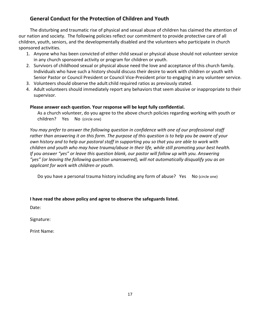### **General Conduct for the Protection of Children and Youth**

The disturbing and traumatic rise of physical and sexual abuse of children has claimed the attention of our nation and society. The following policies reflect our commitment to provide protective care of all children, youth, seniors, and the developmentally disabled and the volunteers who participate in church sponsored activities.

- 1. Anyone who has been convicted of either child sexual or physical abuse should not volunteer service in any church sponsored activity or program for children or youth.
- 2. Survivors of childhood sexual or physical abuse need the love and acceptance of this church family. Individuals who have such a history should discuss their desire to work with children or youth with Senior Pastor or Council President or Council Vice-President prior to engaging in any volunteer service.
- 3. Volunteers should observe the adult:child required ratios as previously stated.
- 4. Adult volunteers should immediately report any behaviors that seem abusive or inappropriate to their supervisor.

#### **Please answer each question. Your response will be kept fully confidential.**

As a church volunteer, do you agree to the above church policies regarding working with youth or children? Yes No (circle one)

*You may prefer to answer the following question in confidence with one of our professional staff rather than answering it on this form. The purpose of this question is to help you be aware of your own history and to help our pastoral staff in supporting you so that you are able to work with children and youth who may have trauma/abuse in their life, while still promoting your best health. If you answer "yes" or leave this question blank, our pastor will follow up with you. Answering "yes" (or leaving the following question unanswered), will not automatically disqualify you as an applicant for work with children or youth.*

Do you have a personal trauma history including any form of abuse? Yes No (circle one)

#### **I have read the above policy and agree to observe the safeguards listed.**

Date:

Signature:

Print Name: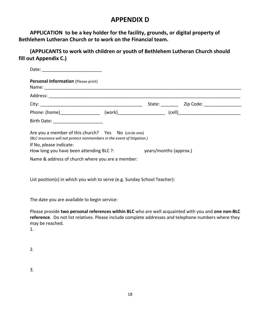### **APPENDIX D**

**APPLICATION to be a key holder for the facility, grounds, or digital property of Bethlehem Lutheran Church or to work on the Financial team.**

**(APPLICANTS to work with children or youth of Bethlehem Lutheran Church should fill out Appendix C.)**

| <b>Personal Information (Please print)</b>                                                                                                                                                                                   |  |  |                                                                                                           |  |  |  |  |
|------------------------------------------------------------------------------------------------------------------------------------------------------------------------------------------------------------------------------|--|--|-----------------------------------------------------------------------------------------------------------|--|--|--|--|
|                                                                                                                                                                                                                              |  |  |                                                                                                           |  |  |  |  |
|                                                                                                                                                                                                                              |  |  | State: <u>Zip Code:</u> Zip Code:                                                                         |  |  |  |  |
|                                                                                                                                                                                                                              |  |  | Phone: (home)______________________ (work)_________________________ (cell)_______________________________ |  |  |  |  |
| Birth Date: _________________________                                                                                                                                                                                        |  |  |                                                                                                           |  |  |  |  |
| Are you a member of this church? Yes No (circle one)<br>(BLC insurance will not protect nonmembers in the event of litigation.)<br>If No, please indicate:<br>How long you have been attending BLC ?: vears/months (approx.) |  |  |                                                                                                           |  |  |  |  |
| Name & address of church where you are a member:                                                                                                                                                                             |  |  |                                                                                                           |  |  |  |  |

List position(s) in which you wish to serve (e.g. Sunday School Teacher):

The date you are available to begin service:

Please provide **two personal references within BLC** who are well acquainted with you and **one non-BLC reference**. Do not list relatives. Please include complete addresses and telephone numbers where they may be reached.

1.

3.